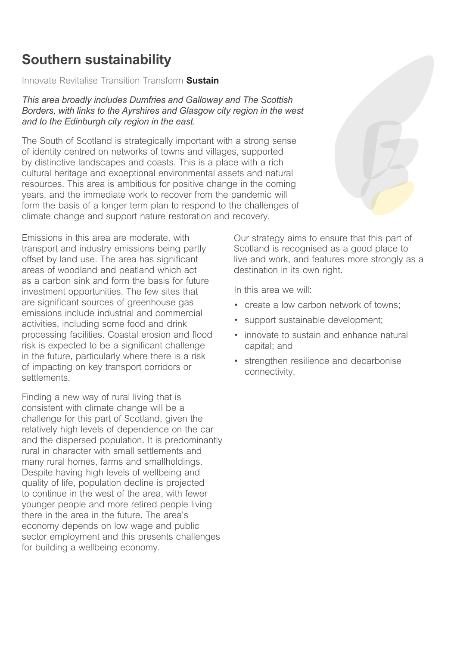# **Southern sustainability**

*Innovate Revitalise Transition Transform* **Sustain** 

*This area broadly includes Dumfries and Galloway and The Scottish Borders, with links to the Ayrshires and Glasgow city region in the west and to the Edinburgh city region in the east.* 

*The South of Scotland is strategically important with a strong sense of identity centred on networks of towns and villages, supported by distinctive landscapes and coasts. This is a place with a rich cultural heritage and exceptional environmental assets and natural*  resources. This area is ambitious for positive change in the coming *years, and the immediate work to recover from the pandemic will*  form the basis of a longer term plan to respond to the challenges of *climate change and support nature restoration and recovery.* 

*Emissions in this area are moderate, with transport and industry emissions being partly offset by land use. The area has signifcant areas of woodland and peatland which act as a carbon sink and form the basis for future investment opportunities. The few sites that are signifcant sources of greenhouse gas emissions include industrial and commercial activities, including some food and drink processing facilities. Coastal erosion and food risk is expected to be a signifcant challenge in the future, particularly where there is a risk of impacting on key transport corridors or settlements.* 

*Finding a new way of rural living that is consistent with climate change will be a challenge for this part of Scotland, given the relatively high levels of dependence on the car and the dispersed population. It is predominantly rural in character with small settlements and many rural homes, farms and smallholdings. Despite having high levels of wellbeing and quality of life, population decline is projected to continue in the west of the area, with fewer younger people and more retired people living there in the area in the future. The area's economy depends on low wage and public sector employment and this presents challenges for building a wellbeing economy.* 

*Our strategy aims to ensure that this part of Scotland is recognised as a good place to live and work, and features more strongly as a destination in its own right.* 

*In this area we will:* 

- *create a low carbon network of towns;*
- *support sustainable development;*
- *innovate to sustain and enhance natural capital; and*
- *strengthen resilience and decarbonise connectivity.*

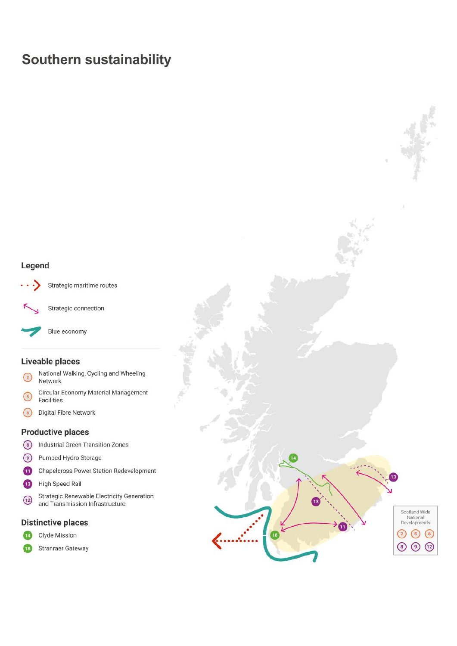# **Southern sustainability**

## Legend



Strategic connection

Strategic maritime routes

Blue economy

### Liveable places

- National Walking, Cycling and Wheeling  $\binom{2}{2}$ Network
- Circular Economy Material Management  $\binom{5}{5}$ Facilities
- $\odot$ Digital Fibre Network

#### **Productive places**

- **Industrial Green Transition Zones**  $\odot$
- $\odot$ Pumped Hydro Storage
- $\mathbf{u}$ Chapelcross Power Station Redevelopment
- $\overline{13}$ High Speed Rail
- **Strategic Renewable Electricity Generation**  $\bigcirc$ and Transmission Infrastructure

#### **Distinctive places**

14 Clyde Mission

Stranraer Gateway  $\overline{18}$ 

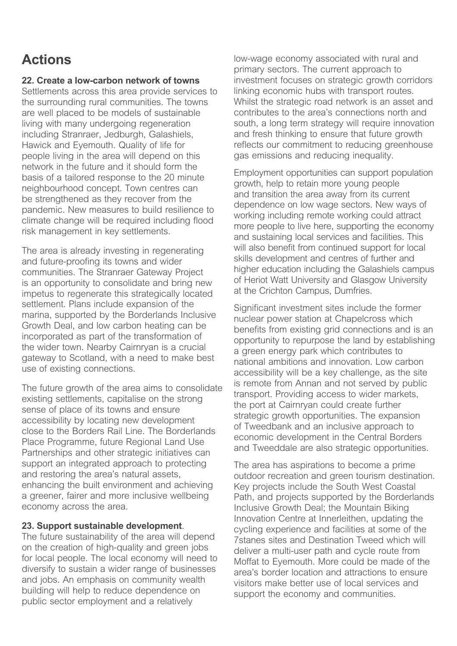# **Actions**

## **22. Create a low-carbon network of towns**

*Settlements across this area provide services to the surrounding rural communities. The towns are well placed to be models of sustainable living with many undergoing regeneration including Stranraer, Jedburgh, Galashiels, Hawick and Eyemouth. Quality of life for people living in the area will depend on this network in the future and it should form the basis of a tailored response to the 20 minute neighbourhood concept. Town centres can be strengthened as they recover from the pandemic. New measures to build resilience to climate change will be required including food risk management in key settlements.* 

*The area is already investing in regenerating and future-proofng its towns and wider communities. The Stranraer Gateway Project is an opportunity to consolidate and bring new impetus to regenerate this strategically located settlement. Plans include expansion of the marina, supported by the Borderlands Inclusive Growth Deal, and low carbon heating can be incorporated as part of the transformation of the wider town. Nearby Cairnryan is a crucial gateway to Scotland, with a need to make best use of existing connections.* 

*The future growth of the area aims to consolidate existing settlements, capitalise on the strong sense of place of its towns and ensure accessibility by locating new development close to the Borders Rail Line. The Borderlands Place Programme, future Regional Land Use Partnerships and other strategic initiatives can support an integrated approach to protecting and restoring the area's natural assets, enhancing the built environment and achieving a greener, fairer and more inclusive wellbeing economy across the area.* 

### **23. Support sustainable development***.*

*The future sustainability of the area will depend on the creation of high-quality and green jobs for local people. The local economy will need to diversify to sustain a wider range of businesses and jobs. An emphasis on community wealth building will help to reduce dependence on public sector employment and a relatively* 

*low-wage economy associated with rural and primary sectors. The current approach to investment focuses on strategic growth corridors linking economic hubs with transport routes. Whilst the strategic road network is an asset and contributes to the area's connections north and south, a long term strategy will require innovation and fresh thinking to ensure that future growth refects our commitment to reducing greenhouse gas emissions and reducing inequality.* 

*Employment opportunities can support population growth, help to retain more young people and transition the area away from its current dependence on low wage sectors. New ways of working including remote working could attract more people to live here, supporting the economy and sustaining local services and facilities. This will also beneft from continued support for local skills development and centres of further and higher education including the Galashiels campus of Heriot Watt University and Glasgow University at the Crichton Campus, Dumfries.* 

*Signifcant investment sites include the former nuclear power station at Chapelcross which benefts from existing grid connections and is an opportunity to repurpose the land by establishing a green energy park which contributes to national ambitions and innovation. Low carbon accessibility will be a key challenge, as the site is remote from Annan and not served by public transport. Providing access to wider markets, the port at Cairnryan could create further strategic growth opportunities. The expansion of Tweedbank and an inclusive approach to economic development in the Central Borders and Tweeddale are also strategic opportunities.* 

*The area has aspirations to become a prime outdoor recreation and green tourism destination. Key projects include the South West Coastal Path, and projects supported by the Borderlands Inclusive Growth Deal; the Mountain Biking Innovation Centre at Innerleithen, updating the cycling experience and facilities at some of the 7stanes sites and Destination Tweed which will deliver a multi-user path and cycle route from Moffat to Eyemouth. More could be made of the area's border location and attractions to ensure visitors make better use of local services and support the economy and communities.*